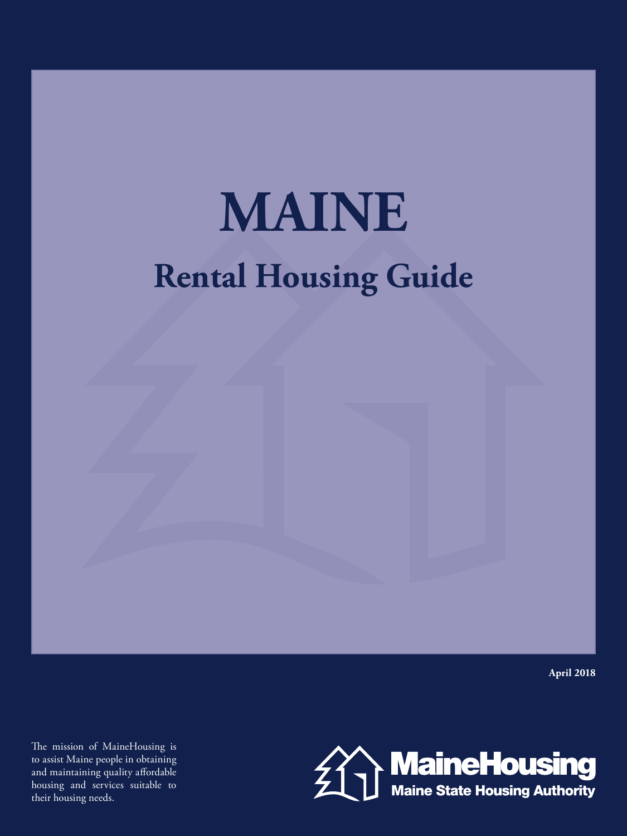# **Rental Housing Guide MAINE**

**April 2018**

The mission of MaineHousing is to assist Maine people in obtaining and maintaining quality affordable housing and services suitable to their housing needs.

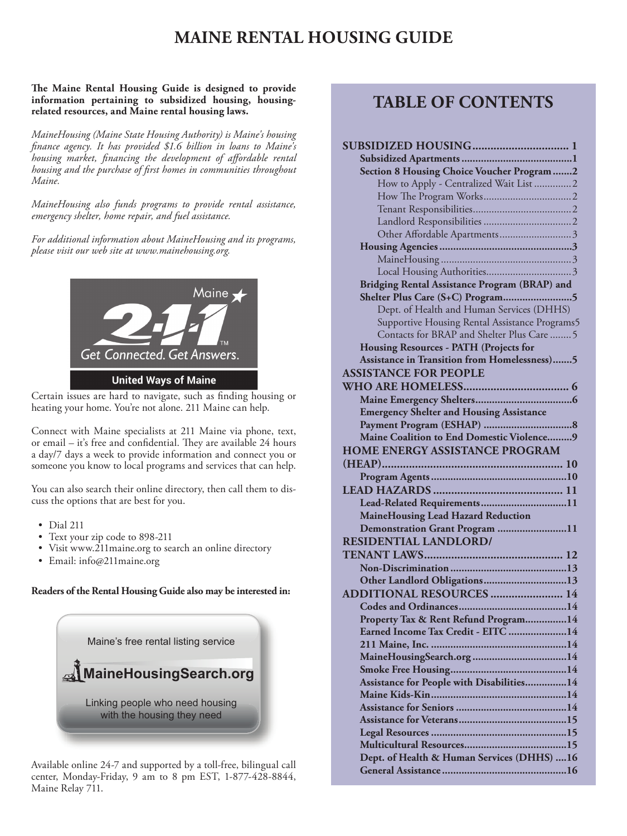# **MAINE RENTAL HOUSING GUIDE**

#### **The Maine Rental Housing Guide is designed to provide information pertaining to subsidized housing, housingrelated resources, and Maine rental housing laws.**

*MaineHousing (Maine State Housing Authority) is Maine's housing finance agency. It has provided \$1.6 billion in loans to Maine's housing market, financing the development of affordable rental housing and the purchase of first homes in communities throughout Maine.*

*MaineHousing also funds programs to provide rental assistance, emergency shelter, home repair, and fuel assistance.*

*For additional information about MaineHousing and its programs, please visit our web site at www.mainehousing.org.*



Certain issues are hard to navigate, such as finding housing or heating your home. You're not alone. 211 Maine can help.

Connect with Maine specialists at 211 Maine via phone, text, or email – it's free and confidential. They are available 24 hours a day/7 days a week to provide information and connect you or someone you know to local programs and services that can help.

You can also search their online directory, then call them to discuss the options that are best for you.

- Dial 211
- Text your zip code to 898-211
- Visit www.211maine.org to search an online directory
- Email: info@211maine.org

**Readers of the Rental Housing Guide also may be interested in:**



Available online 24-7 and supported by a toll-free, bilingual call center, Monday-Friday, 9 am to 8 pm EST, 1-877-428-8844, Maine Relay 711.

# **TABLE OF CONTENTS**

| <b>Section 8 Housing Choice Voucher Program 2</b>    |
|------------------------------------------------------|
| How to Apply - Centralized Wait List 2               |
|                                                      |
|                                                      |
|                                                      |
| Other Affordable Apartments3                         |
|                                                      |
|                                                      |
|                                                      |
| <b>Bridging Rental Assistance Program (BRAP) and</b> |
| Shelter Plus Care (S+C) Program5                     |
| Dept. of Health and Human Services (DHHS)            |
| Supportive Housing Rental Assistance Programs5       |
| Contacts for BRAP and Shelter Plus Care  5           |
| <b>Housing Resources - PATH (Projects for</b>        |
| <b>Assistance in Transition from Homelessness)5</b>  |
| <b>ASSISTANCE FOR PEOPLE</b>                         |
|                                                      |
|                                                      |
| <b>Emergency Shelter and Housing Assistance</b>      |
|                                                      |
| Maine Coalition to End Domestic Violence 9           |
| <b>HOME ENERGY ASSISTANCE PROGRAM</b>                |
|                                                      |
|                                                      |
|                                                      |
| Lead-Related Requirements11                          |
| MaineHousing Lead Hazard Reduction                   |
| Demonstration Grant Program 11                       |
| <b>RESIDENTIAL LANDLORD/</b>                         |
|                                                      |
|                                                      |
| Other Landlord Obligations13                         |
| <b>ADDITIONAL RESOURCES  14</b>                      |
|                                                      |
| Property Tax & Rent Refund Program14                 |
| Earned Income Tax Credit - EITC 14                   |
|                                                      |
|                                                      |
|                                                      |
| Assistance for People with Disabilities14            |
|                                                      |
|                                                      |
|                                                      |
|                                                      |
|                                                      |
| Dept. of Health & Human Services (DHHS)  16          |
|                                                      |
|                                                      |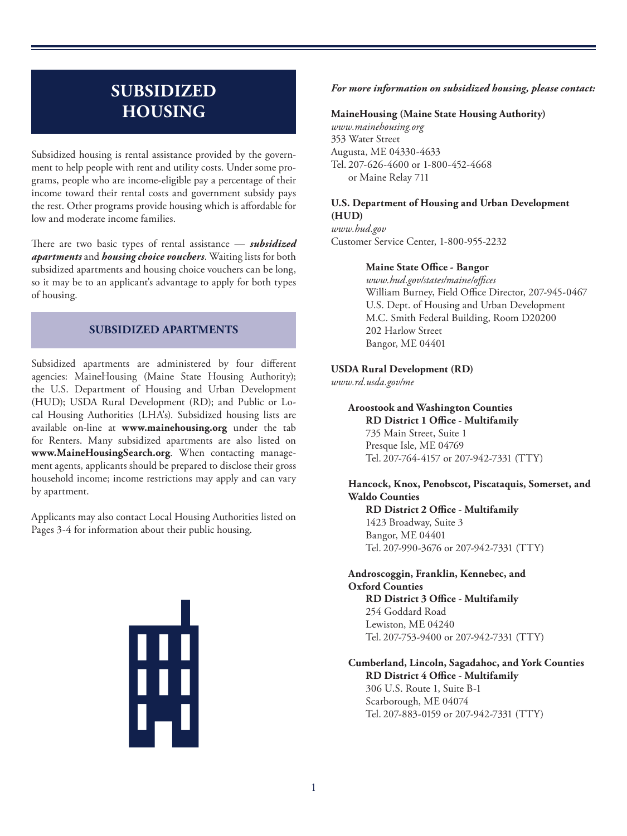# **SUBSIDIZED HOUSING**

Subsidized housing is rental assistance provided by the government to help people with rent and utility costs. Under some programs, people who are income-eligible pay a percentage of their income toward their rental costs and government subsidy pays the rest. Other programs provide housing which is affordable for low and moderate income families.

There are two basic types of rental assistance — *subsidized apartments* and *housing choice vouchers*. Waiting lists for both subsidized apartments and housing choice vouchers can be long, so it may be to an applicant's advantage to apply for both types of housing.

# **SUBSIDIZED APARTMENTS**

Subsidized apartments are administered by four different agencies: MaineHousing (Maine State Housing Authority); the U.S. Department of Housing and Urban Development (HUD); USDA Rural Development (RD); and Public or Local Housing Authorities (LHA's). Subsidized housing lists are available on-line at **www.mainehousing.org** under the tab for Renters. Many subsidized apartments are also listed on **www.MaineHousingSearch.org**. When contacting management agents, applicants should be prepared to disclose their gross household income; income restrictions may apply and can vary by apartment.

Applicants may also contact Local Housing Authorities listed on Pages 3-4 for information about their public housing.

▓

#### *For more information on subsidized housing, please contact:*

#### **MaineHousing (Maine State Housing Authority)**

*www.mainehousing.org* 353 Water Street Augusta, ME 04330-4633 Tel. 207-626-4600 or 1-800-452-4668 or Maine Relay 711

### **U.S. Department of Housing and Urban Development (HUD)**

*www.hud.gov* Customer Service Center, 1-800-955-2232

#### **Maine State Office - Bangor**

*www.hud.gov/states/maine/offices* William Burney, Field Office Director, 207-945-0467 U.S. Dept. of Housing and Urban Development M.C. Smith Federal Building, Room D20200 202 Harlow Street Bangor, ME 04401

#### **USDA Rural Development (RD)**

*www.rd.usda.gov/me*

## **Aroostook and Washington Counties RD District 1 Office - Multifamily** 735 Main Street, Suite 1 Presque Isle, ME 04769

Tel. 207-764-4157 or 207-942-7331 (TTY)

# **Hancock, Knox, Penobscot, Piscataquis, Somerset, and Waldo Counties**

**RD District 2 Office - Multifamily** 1423 Broadway, Suite 3 Bangor, ME 04401 Tel. 207-990-3676 or 207-942-7331 (TTY)

# **Androscoggin, Franklin, Kennebec, and Oxford Counties**

**RD District 3 Office - Multifamily** 254 Goddard Road Lewiston, ME 04240 Tel. 207-753-9400 or 207-942-7331 (TTY)

# **Cumberland, Lincoln, Sagadahoc, and York Counties RD District 4 Office - Multifamily**

306 U.S. Route 1, Suite B-1 Scarborough, ME 04074 Tel. 207-883-0159 or 207-942-7331 (TTY)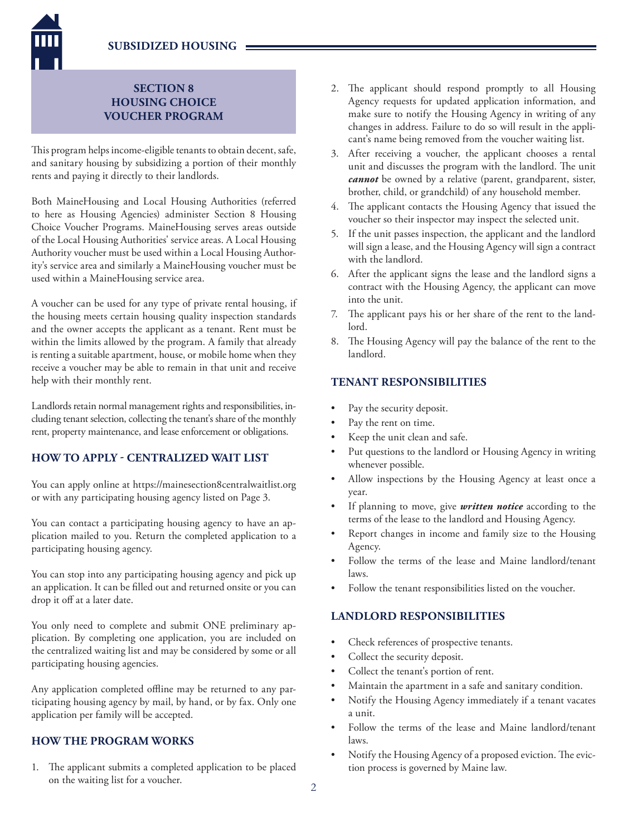**SUBSIDIZED HOUSING**

# **SECTION 8 HOUSING CHOICE VOUCHER PROGRAM**

This program helps income-eligible tenants to obtain decent, safe, and sanitary housing by subsidizing a portion of their monthly rents and paying it directly to their landlords.

Both MaineHousing and Local Housing Authorities (referred to here as Housing Agencies) administer Section 8 Housing Choice Voucher Programs. MaineHousing serves areas outside of the Local Housing Authorities' service areas. A Local Housing Authority voucher must be used within a Local Housing Authority's service area and similarly a MaineHousing voucher must be used within a MaineHousing service area.

A voucher can be used for any type of private rental housing, if the housing meets certain housing quality inspection standards and the owner accepts the applicant as a tenant. Rent must be within the limits allowed by the program. A family that already is renting a suitable apartment, house, or mobile home when they receive a voucher may be able to remain in that unit and receive help with their monthly rent.

Landlords retain normal management rights and responsibilities, including tenant selection, collecting the tenant's share of the monthly rent, property maintenance, and lease enforcement or obligations.

# **HOW TO APPLY - CENTRALIZED WAIT LIST**

You can apply online at https://mainesection8centralwaitlist.org or with any participating housing agency listed on Page 3.

You can contact a participating housing agency to have an application mailed to you. Return the completed application to a participating housing agency.

You can stop into any participating housing agency and pick up an application. It can be filled out and returned onsite or you can drop it off at a later date.

You only need to complete and submit ONE preliminary application. By completing one application, you are included on the centralized waiting list and may be considered by some or all participating housing agencies.

Any application completed offline may be returned to any participating housing agency by mail, by hand, or by fax. Only one application per family will be accepted.

# **HOW THE PROGRAM WORKS**

1. The applicant submits a completed application to be placed on the waiting list for a voucher.

- 2. The applicant should respond promptly to all Housing Agency requests for updated application information, and make sure to notify the Housing Agency in writing of any changes in address. Failure to do so will result in the applicant's name being removed from the voucher waiting list.
- 3. After receiving a voucher, the applicant chooses a rental unit and discusses the program with the landlord. The unit *cannot* be owned by a relative (parent, grandparent, sister, brother, child, or grandchild) of any household member.
- 4. The applicant contacts the Housing Agency that issued the voucher so their inspector may inspect the selected unit.
- 5. If the unit passes inspection, the applicant and the landlord will sign a lease, and the Housing Agency will sign a contract with the landlord.
- 6. After the applicant signs the lease and the landlord signs a contract with the Housing Agency, the applicant can move into the unit.
- 7. The applicant pays his or her share of the rent to the landlord.
- 8. The Housing Agency will pay the balance of the rent to the landlord.

# **TENANT RESPONSIBILITIES**

- Pay the security deposit.
- Pay the rent on time.
- Keep the unit clean and safe.
- Put questions to the landlord or Housing Agency in writing whenever possible.
- Allow inspections by the Housing Agency at least once a year.
- If planning to move, give *written notice* according to the terms of the lease to the landlord and Housing Agency.
- Report changes in income and family size to the Housing Agency.
- Follow the terms of the lease and Maine landlord/tenant laws.
- Follow the tenant responsibilities listed on the voucher.

# **LANDLORD RESPONSIBILITIES**

- Check references of prospective tenants.
- Collect the security deposit.
- Collect the tenant's portion of rent.
- Maintain the apartment in a safe and sanitary condition.
- Notify the Housing Agency immediately if a tenant vacates a unit.
- Follow the terms of the lease and Maine landlord/tenant laws.
- Notify the Housing Agency of a proposed eviction. The eviction process is governed by Maine law.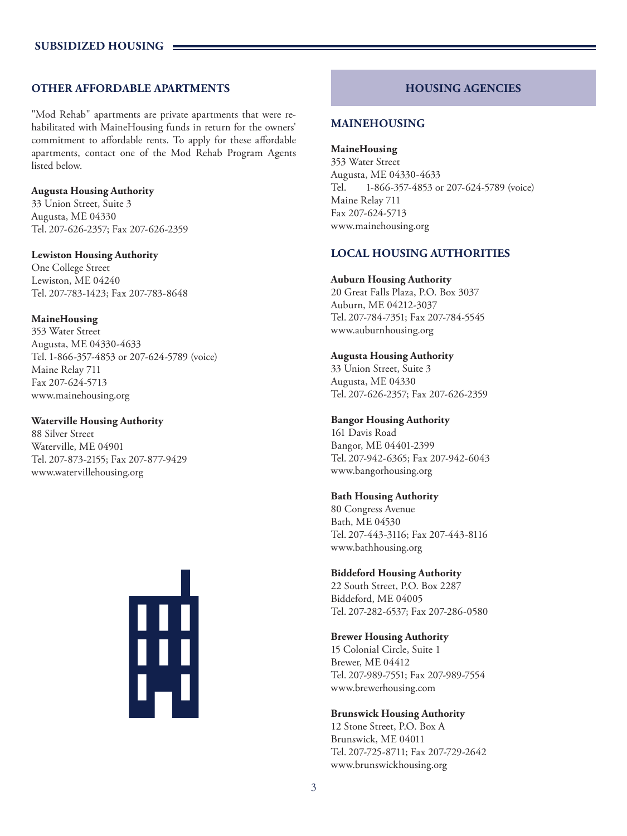# **OTHER AFFORDABLE APARTMENTS**

"Mod Rehab" apartments are private apartments that were rehabilitated with MaineHousing funds in return for the owners' commitment to affordable rents. To apply for these affordable apartments, contact one of the Mod Rehab Program Agents listed below.

#### **Augusta Housing Authority**

33 Union Street, Suite 3 Augusta, ME 04330 Tel. 207-626-2357; Fax 207-626-2359

#### **Lewiston Housing Authority**

One College Street Lewiston, ME 04240 Tel. 207-783-1423; Fax 207-783-8648

#### **MaineHousing**

353 Water Street Augusta, ME 04330-4633 Tel. 1-866-357-4853 or 207-624-5789 (voice) Maine Relay 711 Fax 207-624-5713 www.mainehousing.org

#### **Waterville Housing Authority**

88 Silver Street Waterville, ME 04901 Tel. 207-873-2155; Fax 207-877-9429 www.watervillehousing.org



# **HOUSING AGENCIES**

# **MAINEHOUSING**

**MaineHousing** 353 Water Street Augusta, ME 04330-4633 Tel. 1-866-357-4853 or 207-624-5789 (voice) Maine Relay 711 Fax 207-624-5713 www.mainehousing.org

# **LOCAL HOUSING AUTHORITIES**

#### **Auburn Housing Authority**

20 Great Falls Plaza, P.O. Box 3037 Auburn, ME 04212-3037 Tel. 207-784-7351; Fax 207-784-5545 www.auburnhousing.org

### **Augusta Housing Authority**

33 Union Street, Suite 3 Augusta, ME 04330 Tel. 207-626-2357; Fax 207-626-2359

### **Bangor Housing Authority**

161 Davis Road Bangor, ME 04401-2399 Tel. 207-942-6365; Fax 207-942-6043 www.bangorhousing.org

### **Bath Housing Authority**

80 Congress Avenue Bath, ME 04530 Tel. 207-443-3116; Fax 207-443-8116 www.bathhousing.org

### **Biddeford Housing Authority**

22 South Street, P.O. Box 2287 Biddeford, ME 04005 Tel. 207-282-6537; Fax 207-286-0580

### **Brewer Housing Authority**

15 Colonial Circle, Suite 1 Brewer, ME 04412 Tel. 207-989-7551; Fax 207-989-7554 www.brewerhousing.com

### **Brunswick Housing Authority**

12 Stone Street, P.O. Box A Brunswick, ME 04011 Tel. 207-725-8711; Fax 207-729-2642 www.brunswickhousing.org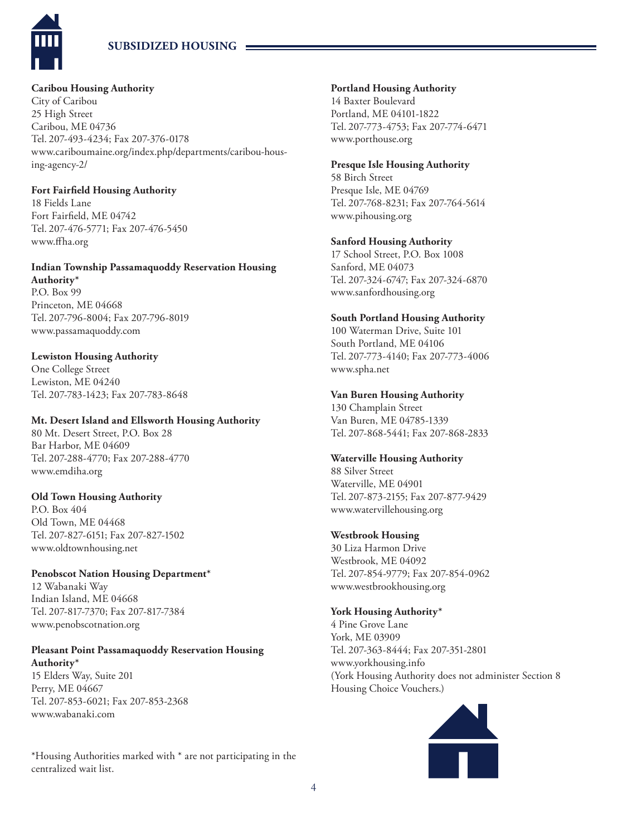

# **SUBSIDIZED HOUSING**

# **Caribou Housing Authority**

City of Caribou 25 High Street Caribou, ME 04736 Tel. 207-493-4234; Fax 207-376-0178 www.cariboumaine.org/index.php/departments/caribou-housing-agency-2/

## **Fort Fairfield Housing Authority**

18 Fields Lane Fort Fairfield, ME 04742 Tel. 207-476-5771; Fax 207-476-5450 www.ffha.org

#### **Indian Township Passamaquoddy Reservation Housing Authority\***

P.O. Box 99 Princeton, ME 04668 Tel. 207-796-8004; Fax 207-796-8019 www.passamaquoddy.com

# **Lewiston Housing Authority**

One College Street Lewiston, ME 04240 Tel. 207-783-1423; Fax 207-783-8648

# **Mt. Desert Island and Ellsworth Housing Authority**

80 Mt. Desert Street, P.O. Box 28 Bar Harbor, ME 04609 Tel. 207-288-4770; Fax 207-288-4770 www.emdiha.org

# **Old Town Housing Authority**

P.O. Box 404 Old Town, ME 04468 Tel. 207-827-6151; Fax 207-827-1502 www.oldtownhousing.net

# **Penobscot Nation Housing Department\***

12 Wabanaki Way Indian Island, ME 04668 Tel. 207-817-7370; Fax 207-817-7384 www.penobscotnation.org

#### **Pleasant Point Passamaquoddy Reservation Housing Authority\***

15 Elders Way, Suite 201 Perry, ME 04667 Tel. 207-853-6021; Fax 207-853-2368 www.wabanaki.com

\*Housing Authorities marked with \* are not participating in the centralized wait list.

# **Portland Housing Authority**

14 Baxter Boulevard Portland, ME 04101-1822 Tel. 207-773-4753; Fax 207-774-6471 www.porthouse.org

# **Presque Isle Housing Authority**

58 Birch Street Presque Isle, ME 04769 Tel. 207-768-8231; Fax 207-764-5614 www.pihousing.org

# **Sanford Housing Authority**

17 School Street, P.O. Box 1008 Sanford, ME 04073 Tel. 207-324-6747; Fax 207-324-6870 www.sanfordhousing.org

# **South Portland Housing Authority**

100 Waterman Drive, Suite 101 South Portland, ME 04106 Tel. 207-773-4140; Fax 207-773-4006 www.spha.net

# **Van Buren Housing Authority**

130 Champlain Street Van Buren, ME 04785-1339 Tel. 207-868-5441; Fax 207-868-2833

# **Waterville Housing Authority**

88 Silver Street Waterville, ME 04901 Tel. 207-873-2155; Fax 207-877-9429 www.watervillehousing.org

# **Westbrook Housing**

30 Liza Harmon Drive Westbrook, ME 04092 Tel. 207-854-9779; Fax 207-854-0962 www.westbrookhousing.org

# **York Housing Authority\***

4 Pine Grove Lane York, ME 03909 Tel. 207-363-8444; Fax 207-351-2801 www.yorkhousing.info (York Housing Authority does not administer Section 8 Housing Choice Vouchers.)

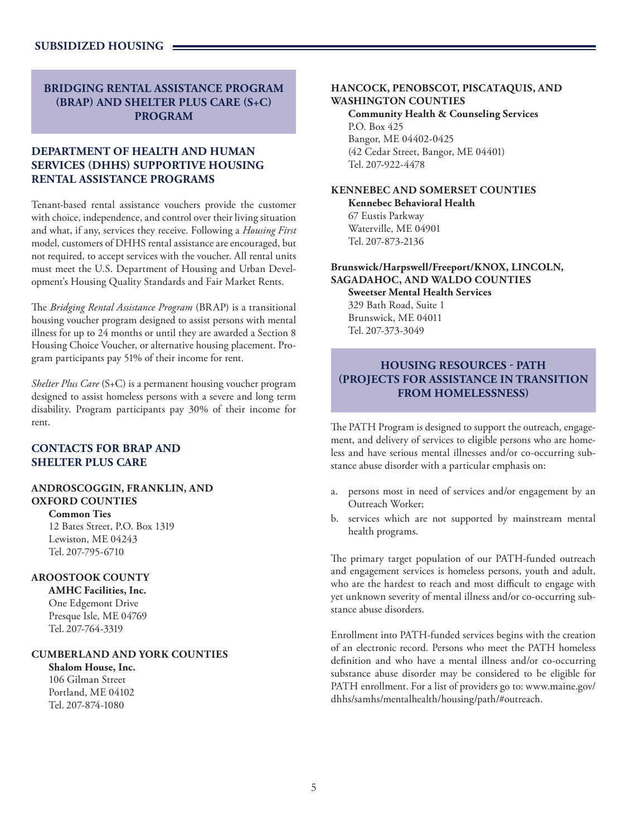# **BRIDGING RENTAL ASSISTANCE PROGRAM (BRAP) AND SHELTER PLUS CARE (S+C) PROGRAM**

# **DEPARTMENT OF HEALTH AND HUMAN SERVICES (DHHS) SUPPORTIVE HOUSING RENTAL ASSISTANCE PROGRAMS**

Tenant-based rental assistance vouchers provide the customer with choice, independence, and control over their living situation and what, if any, services they receive. Following a *Housing First* model, customers of DHHS rental assistance are encouraged, but not required, to accept services with the voucher. All rental units must meet the U.S. Department of Housing and Urban Development's Housing Quality Standards and Fair Market Rents.

The *Bridging Rental Assistance Program* (BRAP) is a transitional housing voucher program designed to assist persons with mental illness for up to 24 months or until they are awarded a Section 8 Housing Choice Voucher, or alternative housing placement. Program participants pay 51% of their income for rent.

*Shelter Plus Care* (S+C) is a permanent housing voucher program designed to assist homeless persons with a severe and long term disability. Program participants pay 30% of their income for rent.

# **CONTACTS FOR BRAP AND SHELTER PLUS CARE**

#### **ANDROSCOGGIN, FRANKLIN, AND OXFORD COUNTIES**

**Common Ties** 12 Bates Street, P.O. Box 1319 Lewiston, ME 04243 Tel. 207-795-6710

## **AROOSTOOK COUNTY**

**AMHC Facilities, Inc.** One Edgemont Drive Presque Isle, ME 04769 Tel. 207-764-3319

## **CUMBERLAND AND YORK COUNTIES**

**Shalom House, Inc.** 106 Gilman Street Portland, ME 04102 Tel. 207-874-1080

#### **HANCOCK, PENOBSCOT, PISCATAQUIS, AND WASHINGTON COUNTIES**

**Community Health & Counseling Services** P.O. Box 425 Bangor, ME 04402-0425 (42 Cedar Street, Bangor, ME 04401) Tel. 207-922-4478

# **KENNEBEC AND SOMERSET COUNTIES**

**Kennebec Behavioral Health** 67 Eustis Parkway Waterville, ME 04901 Tel. 207-873-2136

# **Brunswick/Harpswell/Freeport/KNOX, LINCOLN, SAGADAHOC, AND WALDO COUNTIES**

**Sweetser Mental Health Services** 329 Bath Road, Suite 1 Brunswick, ME 04011 Tel. 207-373-3049

# **HOUSING RESOURCES - PATH (PROJECTS FOR ASSISTANCE IN TRANSITION FROM HOMELESSNESS)**

The PATH Program is designed to support the outreach, engagement, and delivery of services to eligible persons who are homeless and have serious mental illnesses and/or co-occurring substance abuse disorder with a particular emphasis on:

- a. persons most in need of services and/or engagement by an Outreach Worker;
- b. services which are not supported by mainstream mental health programs.

The primary target population of our PATH-funded outreach and engagement services is homeless persons, youth and adult, who are the hardest to reach and most difficult to engage with yet unknown severity of mental illness and/or co-occurring substance abuse disorders.

Enrollment into PATH-funded services begins with the creation of an electronic record. Persons who meet the PATH homeless definition and who have a mental illness and/or co-occurring substance abuse disorder may be considered to be eligible for PATH enrollment. For a list of providers go to: www.maine.gov/ dhhs/samhs/mentalhealth/housing/path/#outreach.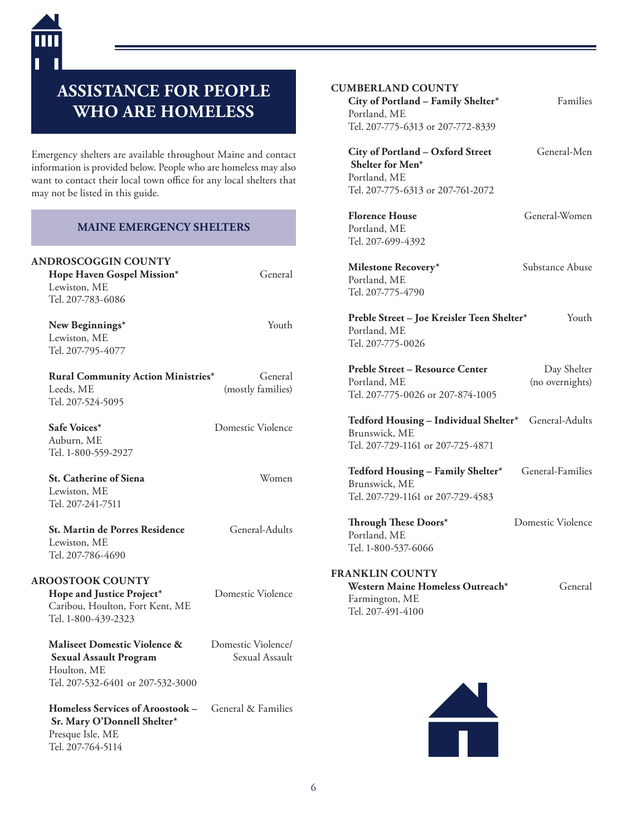# **ASSISTANCE FOR PEOPLE WHO ARE HOMELESS**

Emergency shelters are available throughout Maine and contact information is provided below. People who are homeless may also want to contact their local town office for any local shelters that may not be listed in this guide.

# **MAINE EMERGENCY SHELTERS**

| <b>ANDROSCOGGIN COUNTY</b><br>Hope Haven Gospel Mission*<br>Lewiston, ME<br>Tel. 207-783-6086 | General                      |
|-----------------------------------------------------------------------------------------------|------------------------------|
| New Beginnings*<br>Lewiston, ME<br>Tel. 207-795-4077                                          | Youth                        |
| Rural Community Action Ministries*<br>Leeds, ME<br>Tel. 207-524-5095                          | General<br>(mostly families) |
| Safe Voices <sup>*</sup><br>Auburn, ME<br>Tel. 1-800-559-2927                                 | Domestic Violence            |
| <b>St. Catherine of Siena</b><br>Lewiston, ME<br>Tel. 207-241-7511                            | Women                        |

**St. Martin de Porres Residence** General-Adults Lewiston, ME Tel. 207-786-4690

**AROOSTOOK COUNTY**

Houlton, ME

**Hope and Justice Project\*** Domestic Violence Caribou, Houlton, Fort Kent, ME Tel. 1-800-439-2323

Tel. 207-532-6401 or 207-532-3000

**Maliseet Domestic Violence &** Domestic Violence/ **Sexual Assault Program** Sexual Assault

**Homeless Services of Aroostook –** General & Families  **Sr. Mary O'Donnell Shelter\*** Presque Isle, ME Tel. 207-764-5114

#### **CUMBERLAND COUNTY**

**City of Portland – Family Shelter\*** Families Portland, ME Tel. 207-775-6313 or 207-772-8339

| General-Men |
|-------------|
|             |
|             |
|             |
|             |

**Florence House** General-Women Portland, ME Tel. 207-699-4392

**Milestone Recovery**\* Substance Abuse Portland, ME Tel. 207-775-4790

Preble Street - Joe Kreisler Teen Shelter\* Youth Portland, ME Tel. 207-775-0026

**Preble Street – Resource Center** Day Shelter Portland, ME (no overnights) Tel. 207-775-0026 or 207-874-1005

**Tedford Housing – Individual Shelter\*** General-Adults Brunswick, ME Tel. 207-729-1161 or 207-725-4871

Tedford Housing - Family Shelter\* General-Families Brunswick, ME Tel. 207-729-1161 or 207-729-4583

**Through These Doors\*** Domestic Violence Portland, ME Tel. 1-800-537-6066

#### **FRANKLIN COUNTY** Western Maine Homeless Outreach\* General Farmington, ME Tel. 207-491-4100

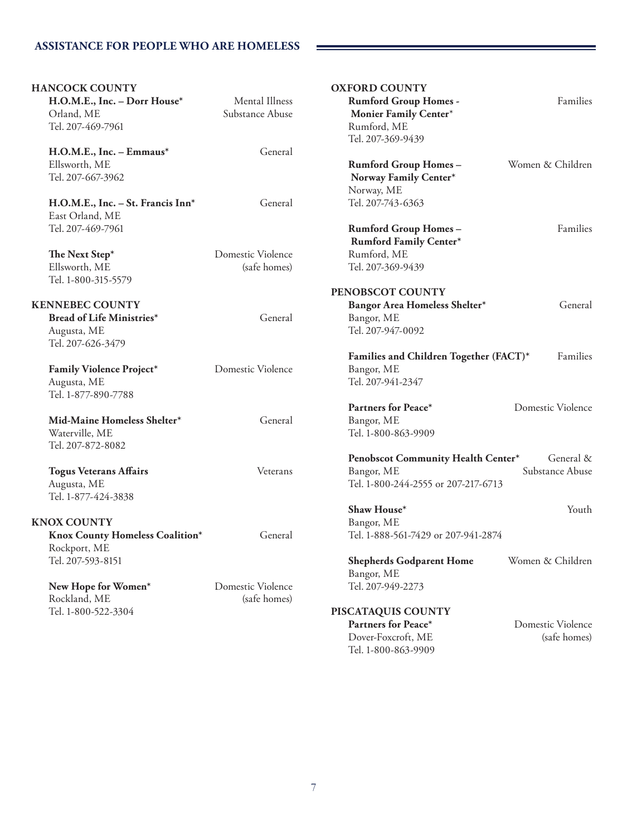| <b>HANCOCK COUNTY</b>             |                   | <b>OXFORD COUNTY</b>                   |                   |
|-----------------------------------|-------------------|----------------------------------------|-------------------|
| H.O.M.E., Inc. - Dorr House*      | Mental Illness    | <b>Rumford Group Homes -</b>           | Families          |
| Orland, ME                        | Substance Abuse   | Monier Family Center*                  |                   |
| Tel. 207-469-7961                 |                   | Rumford, ME                            |                   |
|                                   |                   | Tel. 207-369-9439                      |                   |
| H.O.M.E., Inc. - Emmaus*          | General           |                                        |                   |
| Ellsworth, ME                     |                   | <b>Rumford Group Homes-</b>            | Women & Children  |
| Tel. 207-667-3962                 |                   | Norway Family Center*                  |                   |
|                                   |                   | Norway, ME                             |                   |
| H.O.M.E., Inc. - St. Francis Inn* | General           | Tel. 207-743-6363                      |                   |
| East Orland, ME                   |                   |                                        |                   |
| Tel. 207-469-7961                 |                   | <b>Rumford Group Homes-</b>            | Families          |
|                                   |                   | <b>Rumford Family Center*</b>          |                   |
| The Next Step*                    | Domestic Violence | Rumford, ME                            |                   |
| Ellsworth, ME                     | (safe homes)      | Tel. 207-369-9439                      |                   |
|                                   |                   |                                        |                   |
| Tel. 1-800-315-5579               |                   |                                        |                   |
|                                   |                   | PENOBSCOT COUNTY                       |                   |
| <b>KENNEBEC COUNTY</b>            |                   | Bangor Area Homeless Shelter*          | General           |
| Bread of Life Ministries*         | General           | Bangor, ME                             |                   |
| Augusta, ME                       |                   | Tel. 207-947-0092                      |                   |
| Tel. 207-626-3479                 |                   |                                        |                   |
|                                   |                   | Families and Children Together (FACT)* | Families          |
| Family Violence Project*          | Domestic Violence | Bangor, ME                             |                   |
| Augusta, ME                       |                   | Tel. 207-941-2347                      |                   |
| Tel. 1-877-890-7788               |                   |                                        |                   |
|                                   |                   | Partners for Peace*                    | Domestic Violence |
| Mid-Maine Homeless Shelter*       | General           | Bangor, ME                             |                   |
| Waterville, ME                    |                   | Tel. 1-800-863-9909                    |                   |
| Tel. 207-872-8082                 |                   |                                        |                   |
|                                   |                   | Penobscot Community Health Center*     | General &         |
| <b>Togus Veterans Affairs</b>     | Veterans          | Bangor, ME                             | Substance Abuse   |
| Augusta, ME                       |                   | Tel. 1-800-244-2555 or 207-217-6713    |                   |
| Tel. 1-877-424-3838               |                   |                                        |                   |
|                                   |                   | Shaw House*                            | Youth             |
| <b>KNOX COUNTY</b>                |                   | Bangor, ME                             |                   |
| Knox County Homeless Coalition*   | General           | Tel. 1-888-561-7429 or 207-941-2874    |                   |
| Rockport, ME                      |                   |                                        |                   |
| Tel. 207-593-8151                 |                   | <b>Shepherds Godparent Home</b>        | Women & Children  |
|                                   |                   | Bangor, ME                             |                   |
| New Hope for Women*               | Domestic Violence | Tel. 207-949-2273                      |                   |
| Rockland, ME                      | (safe homes)      |                                        |                   |
| Tel. 1-800-522-3304               |                   | PISCATAQUIS COUNTY                     |                   |
|                                   |                   | Partners for Peace*                    | Domestic Violence |
|                                   |                   | Dover-Foxcroft, ME                     | (safe homes)      |
|                                   |                   | Tel. 1-800-863-9909                    |                   |
|                                   |                   |                                        |                   |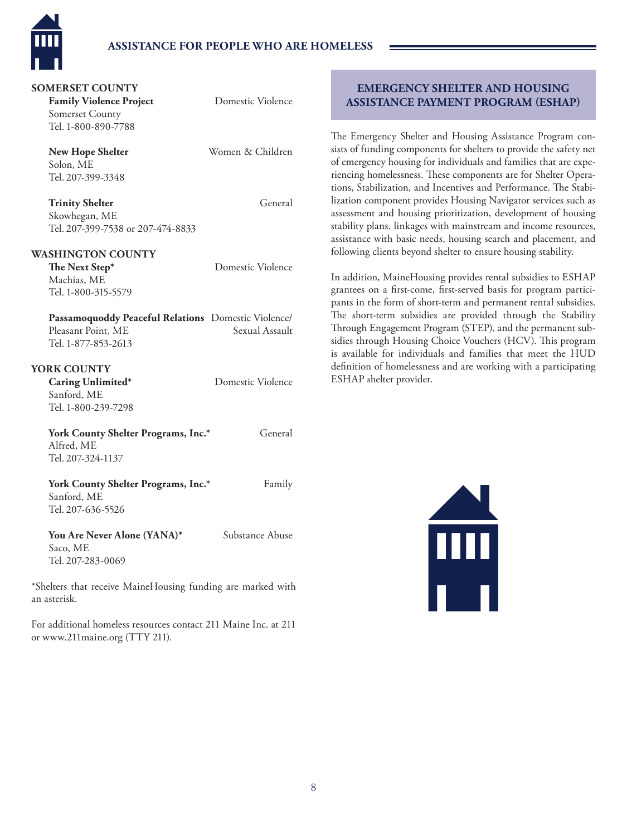

# **ASSISTANCE FOR PEOPLE WHO ARE HOMELESS**

## **SOMERSET COUNTY**

**Family Violence Project** Domestic Violence Somerset County Tel. 1-800-890-7788

Solon, ME Tel. 207-399-3348

**New Hope Shelter** Women & Children

**Trinity Shelter** General

Skowhegan, ME Tel. 207-399-7538 or 207-474-8833

#### **WASHINGTON COUNTY**

**The Next Step\*** Domestic Violence Machias, ME Tel. 1-800-315-5579

**Passamoquoddy Peaceful Relations** Domestic Violence/ Pleasant Point, ME Sexual Assault Tel. 1-877-853-2613

## **YORK COUNTY**

Sanford, ME Tel. 1-800-239-7298

Caring Unlimited\* Domestic Violence

York County Shelter Programs, Inc.\* General Alfred, ME Tel. 207-324-1137

York County Shelter Programs, Inc.\* Family Sanford, ME Tel. 207-636-5526

You Are Never Alone (YANA)\* Substance Abuse Saco, ME Tel. 207-283-0069

\*Shelters that receive MaineHousing funding are marked with an asterisk.

For additional homeless resources contact 211 Maine Inc. at 211 or www.211maine.org (TTY 211).

# **EMERGENCY SHELTER AND HOUSING ASSISTANCE PAYMENT PROGRAM (ESHAP)**

The Emergency Shelter and Housing Assistance Program consists of funding components for shelters to provide the safety net of emergency housing for individuals and families that are experiencing homelessness. These components are for Shelter Operations, Stabilization, and Incentives and Performance. The Stabilization component provides Housing Navigator services such as assessment and housing prioritization, development of housing stability plans, linkages with mainstream and income resources, assistance with basic needs, housing search and placement, and following clients beyond shelter to ensure housing stability.

In addition, MaineHousing provides rental subsidies to ESHAP grantees on a first-come, first-served basis for program participants in the form of short-term and permanent rental subsidies. The short-term subsidies are provided through the Stability Through Engagement Program (STEP), and the permanent subsidies through Housing Choice Vouchers (HCV). This program is available for individuals and families that meet the HUD definition of homelessness and are working with a participating ESHAP shelter provider.

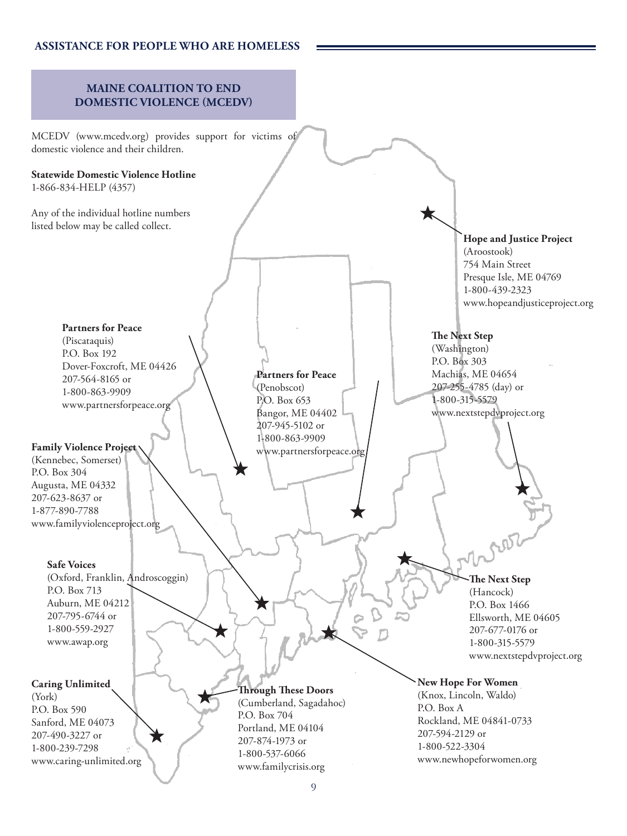# **ASSISTANCE FOR PEOPLE WHO ARE HOMELESS**

# **MAINE COALITION TO END DOMESTIC VIOLENCE (MCEDV)**

MCEDV (www.mcedv.org) provides support for victims of domestic violence and their children.

# **Statewide Domestic Violence Hotline**

1-866-834-HELP (4357)

Any of the individual hotline numbers listed below may be called collect.

# **Partners for Peace** (Piscataquis) P.O. Box 192 Dover-Foxcroft, ME 04426 207-564-8165 or

1-800-863-9909 www.partnersforpeace.org

# **Family Violence Project**

(Kennebec, Somerset) P.O. Box 304 Augusta, ME 04332 207-623-8637 or 1-877-890-7788 www.familyviolenceproject.org

## **Safe Voices**

(Oxford, Franklin, Androscoggin) P.O. Box 713 Auburn, ME 04212 207-795-6744 or 1-800-559-2927 www.awap.org

# **Caring Unlimited**

(York) P.O. Box 590 Sanford, ME 04073 207-490-3227 or 1-800-239-7298 www.caring-unlimited.org

#### **Partners for Peace**

(Penobscot) P.O. Box 653 Bangor, ME 04402 207-945-5102 or 1-800-863-9909 www.partnersforpeace.org

**Hope and Justice Project** (Aroostook) 754 Main Street Presque Isle, ME 04769 1-800-439-2323 www.hopeandjusticeproject.org

# **The Next Step**

(Washington) P.O. Box 303 Machias, ME 04654 207-255-4785 (day) or 1-800-315-5579 www.nextstepdvproject.org

> **The Next Step** (Hancock) P.O. Box 1466

Ellsworth, ME 04605 207-677-0176 or 1-800-315-5579 www.nextstepdvproject.org

# **New Hope For Women**

(Knox, Lincoln, Waldo) P.O. Box A Rockland, ME 04841-0733 207-594-2129 or 1-800-522-3304 www.newhopeforwomen.org

**Through These Doors** (Cumberland, Sagadahoc)

Portland, ME 04104 207-874-1973 or 1-800-537-6066 www.familycrisis.org

P.O. Box 704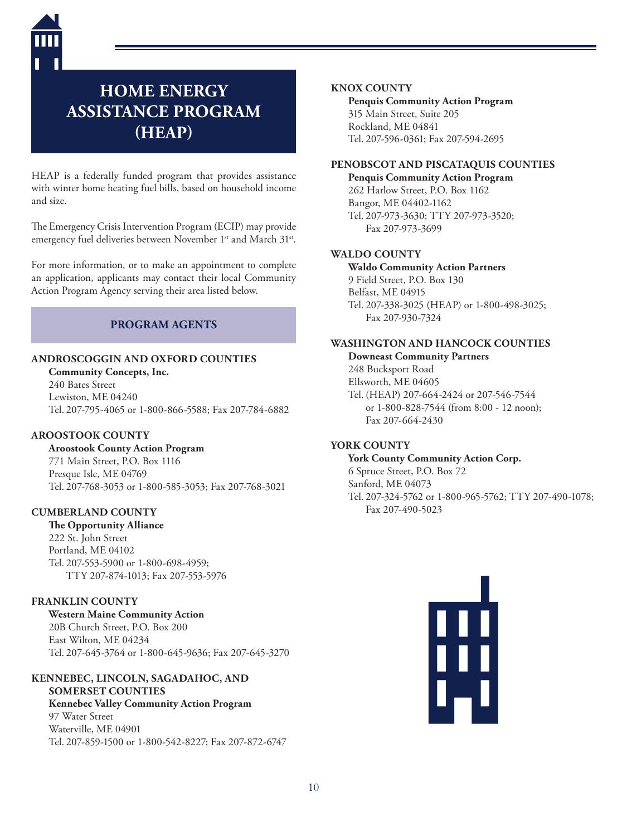

# **HOME ENERGY ASSISTANCE PROGRAM (HEAP)**

HEAP is a federally funded program that provides assistance with winter home heating fuel bills, based on household income and size.

The Emergency Crisis Intervention Program (ECIP) may provide emergency fuel deliveries between November 1<sup>st</sup> and March 31<sup>st</sup>.

For more information, or to make an appointment to complete an application, applicants may contact their local Community Action Program Agency serving their area listed below.

# **PROGRAM AGENTS**

# **ANDROSCOGGIN AND OXFORD COUNTIES**

**Community Concepts, Inc.** 240 Bates Street Lewiston, ME 04240 Tel. 207-795-4065 or 1-800-866-5588; Fax 207-784-6882

## **AROOSTOOK COUNTY**

**Aroostook County Action Program**

771 Main Street, P.O. Box 1116 Presque Isle, ME 04769 Tel. 207-768-3053 or 1-800-585-3053; Fax 207-768-3021

### **CUMBERLAND COUNTY**

#### **The Opportunity Alliance**

222 St. John Street Portland, ME 04102 Tel. 207-553-5900 or 1-800-698-4959; TTY 207-874-1013; Fax 207-553-5976

### **FRANKLIN COUNTY**

**Western Maine Community Action** 20B Church Street, P.O. Box 200 East Wilton, ME 04234 Tel. 207-645-3764 or 1-800-645-9636; Fax 207-645-3270

### **KENNEBEC, LINCOLN, SAGADAHOC, AND SOMERSET COUNTIES**

**Kennebec Valley Community Action Program** 97 Water Street Waterville, ME 04901 Tel. 207-859-1500 or 1-800-542-8227; Fax 207-872-6747

#### **KNOX COUNTY**

**Penquis Community Action Program** 315 Main Street, Suite 205 Rockland, ME 04841 Tel. 207-596 -0361; Fax 207-594-2695

# **PENOBSCOT AND PISCATAQUIS COUNTIES**

**Penquis Community Action Program** 262 Harlow Street, P.O. Box 1162 Bangor, ME 04402-1162 Tel. 207-973-3630; TTY 207-973-3520; Fax 207-973-3699

### **WALDO COUNTY**

**Waldo Community Action Partners** 9 Field Street, P.O. Box 130 Belfast, ME 04915 Tel. 207-338-3025 (HEAP) or 1-800-498-3025; Fax 207-930-7324

## **WASHINGTON AND HANCOCK COUNTIES**

**Downeast Community Partners** 248 Bucksport Road Ellsworth, ME 04605 Tel. (HEAP) 207-664-2424 or 207-546-7544 or 1-800-828-7544 (from 8:00 - 12 noon); Fax 207-664-2430

### **YORK COUNTY**

**York County Community Action Corp.** 6 Spruce Street, P.O. Box 72 Sanford, ME 04073 Tel. 207-324-5762 or 1-800-965-5762; TTY 207-490-1078; Fax 207-490-5023

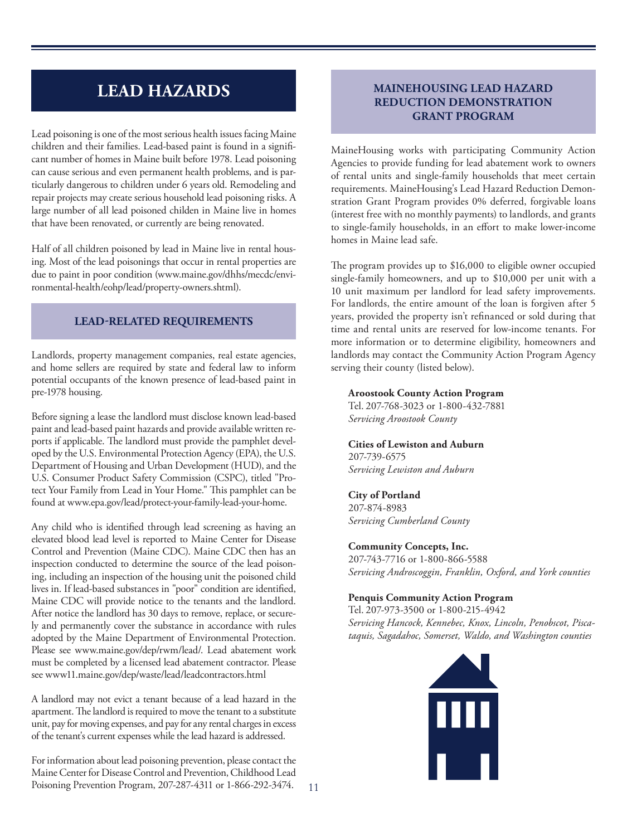# **LEAD HAZARDS**

Lead poisoning is one of the most serious health issues facing Maine children and their families. Lead-based paint is found in a significant number of homes in Maine built before 1978. Lead poisoning can cause serious and even permanent health problems, and is particularly dangerous to children under 6 years old. Remodeling and repair projects may create serious household lead poisoning risks. A large number of all lead poisoned childen in Maine live in homes that have been renovated, or currently are being renovated.

Half of all children poisoned by lead in Maine live in rental housing. Most of the lead poisonings that occur in rental properties are due to paint in poor condition (www.maine.gov/dhhs/mecdc/environmental-health/eohp/lead/property-owners.shtml).

# **LEAD-RELATED REQUIREMENTS**

Landlords, property management companies, real estate agencies, and home sellers are required by state and federal law to inform potential occupants of the known presence of lead-based paint in pre-1978 housing.

Before signing a lease the landlord must disclose known lead-based paint and lead-based paint hazards and provide available written reports if applicable. The landlord must provide the pamphlet developed by the U.S. Environmental Protection Agency (EPA), the U.S. Department of Housing and Urban Development (HUD), and the U.S. Consumer Product Safety Commission (CSPC), titled "Protect Your Family from Lead in Your Home." This pamphlet can be found at www.epa.gov/lead/protect-your-family-lead-your-home.

Any child who is identified through lead screening as having an elevated blood lead level is reported to Maine Center for Disease Control and Prevention (Maine CDC). Maine CDC then has an inspection conducted to determine the source of the lead poisoning, including an inspection of the housing unit the poisoned child lives in. If lead-based substances in "poor" condition are identified, Maine CDC will provide notice to the tenants and the landlord. After notice the landlord has 30 days to remove, replace, or securely and permanently cover the substance in accordance with rules adopted by the Maine Department of Environmental Protection. Please see www.maine.gov/dep/rwm/lead/. Lead abatement work must be completed by a licensed lead abatement contractor. Please see www11.maine.gov/dep/waste/lead/leadcontractors.html

A landlord may not evict a tenant because of a lead hazard in the apartment. The landlord is required to move the tenant to a substitute unit, pay for moving expenses, and pay for any rental charges in excess of the tenant's current expenses while the lead hazard is addressed.

For information about lead poisoning prevention, please contact the Maine Center for Disease Control and Prevention, Childhood Lead Poisoning Prevention Program, 207 -287-4311 or 1-866-292-3474.

# **MAINEHOUSING LEAD HAZARD REDUCTION DEMONSTRATION GRANT PROGRAM**

MaineHousing works with participating Community Action Agencies to provide funding for lead abatement work to owners of rental units and single-family households that meet certain requirements. MaineHousing's Lead Hazard Reduction Demonstration Grant Program provides 0% deferred, forgivable loans (interest free with no monthly payments) to landlords, and grants to single-family households, in an effort to make lower-income homes in Maine lead safe.

The program provides up to \$16,000 to eligible owner occupied single-family homeowners, and up to \$10,000 per unit with a 10 unit maximum per landlord for lead safety improvements. For landlords, the entire amount of the loan is forgiven after 5 years, provided the property isn't refinanced or sold during that time and rental units are reserved for low-income tenants. For more information or to determine eligibility, homeowners and landlords may contact the Community Action Program Agency serving their county (listed below).

#### **Aroostook County Action Program**

Tel. 207-768-3023 or 1-800-432-7881 *Servicing Aroostook County*

**Cities of Lewiston and Auburn** 207-739-6575 *Servicing Lewiston and Auburn*

# **City of Portland**

207-874-8983 *Servicing Cumberland County*

### **Community Concepts, Inc.**

207-743-7716 or 1-800-866-5588 *Servicing Androscoggin, Franklin, Oxford, and York counties*

# **Penquis Community Action Program**

Tel. 207-973-3500 or 1-800-215-4942 *Servicing Hancock, Kennebec, Knox, Lincoln, Penobscot, Piscataquis, Sagadahoc, Somerset, Waldo, and Washington counties*

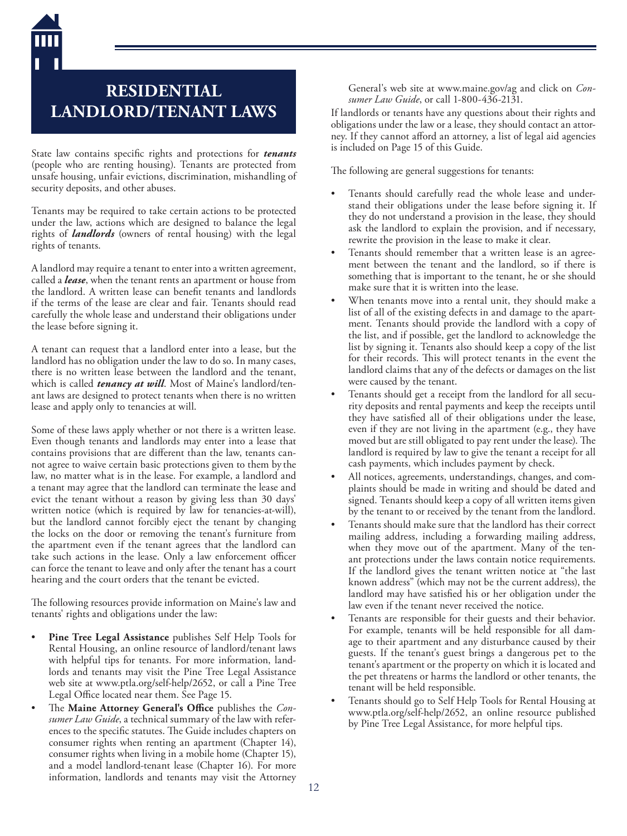# **RESIDENTIAL LANDLORD/TENANT LAWS**

State law contains specific rights and protections for *tenants* (people who are renting housing). Tenants are protected from unsafe housing, unfair evictions, discrimination, mishandling of security deposits, and other abuses.

Tenants may be required to take certain actions to be protected under the law, actions which are designed to balance the legal rights of *landlords* (owners of rental housing) with the legal rights of tenants.

A landlord may require a tenant to enter into a written agreement, called a *lease*, when the tenant rents an apartment or house from the landlord. A written lease can benefit tenants and landlords if the terms of the lease are clear and fair. Tenants should read carefully the whole lease and understand their obligations under the lease before signing it.

A tenant can request that a landlord enter into a lease, but the landlord has no obligation under the law to do so. In many cases, there is no written lease between the landlord and the tenant, which is called *tenancy at will*. Most of Maine's landlord/tenant laws are designed to protect tenants when there is no written lease and apply only to tenancies at will.

Some of these laws apply whether or not there is a written lease. Even though tenants and landlords may enter into a lease that contains provisions that are different than the law, tenants cannot agree to waive certain basic protections given to them by the law, no matter what is in the lease. For example, a landlord and a tenant may agree that the landlord can terminate the lease and evict the tenant without a reason by giving less than 30 days' written notice (which is required by law for tenancies-at-will), but the landlord cannot forcibly eject the tenant by changing the locks on the door or removing the tenant's furniture from the apartment even if the tenant agrees that the landlord can take such actions in the lease. Only a law enforcement officer can force the tenant to leave and only after the tenant has a court hearing and the court orders that the tenant be evicted.

The following resources provide information on Maine's law and tenants' rights and obligations under the law:

- **Pine Tree Legal Assistance** publishes Self Help Tools for Rental Housing, an online resource of landlord/tenant laws with helpful tips for tenants. For more information, landlords and tenants may visit the Pine Tree Legal Assistance web site at www.ptla.org/self-help/2652, or call a Pine Tree Legal Office located near them. See Page 15.
- The **Maine Attorney General's Office** publishes the *Consumer Law Guide*, a technical summary of the law with references to the specific statutes. The Guide includes chapters on consumer rights when renting an apartment (Chapter 14), consumer rights when living in a mobile home (Chapter 15), and a model landlord-tenant lease (Chapter 16). For more information, landlords and tenants may visit the Attorney

General's web site at www.maine.gov/ag and click on *Consumer Law Guide*, or call 1-800-436-2131.

If landlords or tenants have any questions about their rights and obligations under the law or a lease, they should contact an attorney. If they cannot afford an attorney, a list of legal aid agencies is included on Page 15 of this Guide.

The following are general suggestions for tenants:

- Tenants should carefully read the whole lease and understand their obligations under the lease before signing it. If they do not understand a provision in the lease, they should ask the landlord to explain the provision, and if necessary, rewrite the provision in the lease to make it clear.
- Tenants should remember that a written lease is an agreement between the tenant and the landlord, so if there is something that is important to the tenant, he or she should make sure that it is written into the lease.
- When tenants move into a rental unit, they should make a list of all of the existing defects in and damage to the apartment. Tenants should provide the landlord with a copy of the list, and if possible, get the landlord to acknowledge the list by signing it. Tenants also should keep a copy of the list for their records. This will protect tenants in the event the landlord claims that any of the defects or damages on the list were caused by the tenant.
- Tenants should get a receipt from the landlord for all security deposits and rental payments and keep the receipts until they have satisfied all of their obligations under the lease, even if they are not living in the apartment (e.g., they have moved but are still obligated to pay rent under the lease). The landlord is required by law to give the tenant a receipt for all cash payments, which includes payment by check.
- All notices, agreements, understandings, changes, and complaints should be made in writing and should be dated and signed. Tenants should keep a copy of all written items given by the tenant to or received by the tenant from the landlord.
- Tenants should make sure that the landlord has their correct mailing address, including a forwarding mailing address, when they move out of the apartment. Many of the tenant protections under the laws contain notice requirements. If the landlord gives the tenant written notice at "the last known address" (which may not be the current address), the landlord may have satisfied his or her obligation under the law even if the tenant never received the notice.
- Tenants are responsible for their guests and their behavior. For example, tenants will be held responsible for all damage to their apartment and any disturbance caused by their guests. If the tenant's guest brings a dangerous pet to the tenant's apartment or the property on which it is located and the pet threatens or harms the landlord or other tenants, the tenant will be held responsible.
- Tenants should go to Self Help Tools for Rental Housing at www.ptla.org/self-help/2652, an online resource published by Pine Tree Legal Assistance, for more helpful tips.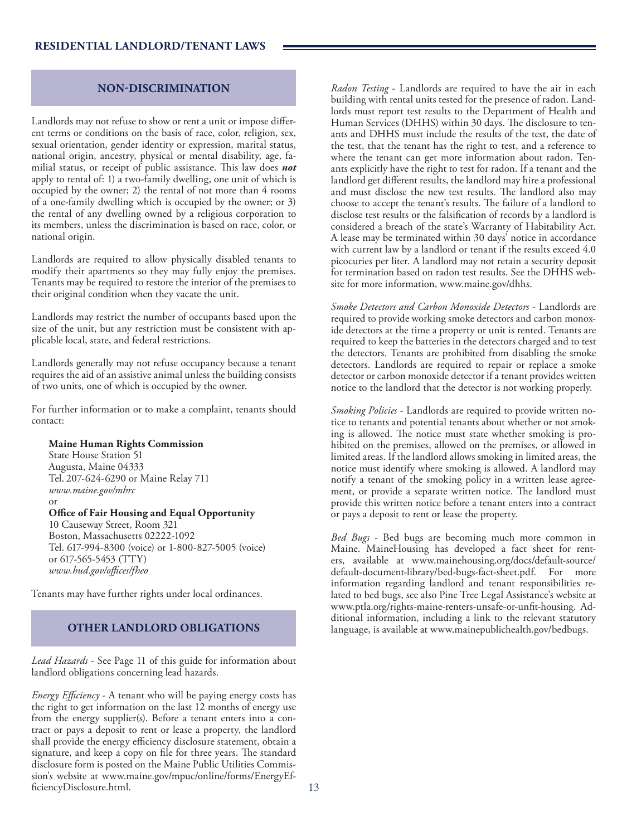# **NON-DISCRIMINATION**

Landlords may not refuse to show or rent a unit or impose different terms or conditions on the basis of race, color, religion, sex, sexual orientation, gender identity or expression, marital status, national origin, ancestry, physical or mental disability, age, familial status, or receipt of public assistance. This law does *not* apply to rental of: 1) a two-family dwelling, one unit of which is occupied by the owner; 2) the rental of not more than 4 rooms of a one-family dwelling which is occupied by the owner; or 3) the rental of any dwelling owned by a religious corporation to its members, unless the discrimination is based on race, color, or national origin.

Landlords are required to allow physically disabled tenants to modify their apartments so they may fully enjoy the premises. Tenants may be required to restore the interior of the premises to their original condition when they vacate the unit.

Landlords may restrict the number of occupants based upon the size of the unit, but any restriction must be consistent with applicable local, state, and federal restrictions.

Landlords generally may not refuse occupancy because a tenant requires the aid of an assistive animal unless the building consists of two units, one of which is occupied by the owner.

For further information or to make a complaint, tenants should contact:

#### **Maine Human Rights Commission**

State House Station 51 Augusta, Maine 04333 Tel. 207 -624-6290 or Maine Relay 711 *www.maine.gov/mhrc* or

#### **Office of Fair Housing and Equal Opportunity**

10 Causeway Street, Room 321 Boston, Massachusetts 02222-1092 Tel. 617-994-8300 (voice) or 1-800-827-5005 (voice) or 617-565-5453 (TTY) *www.hud.gov/offices/fheo*

Tenants may have further rights under local ordinances.

## **OTHER LANDLORD OBLIGATIONS**

*Lead Hazards* - See Page 11 of this guide for information about landlord obligations concerning lead hazards.

*Energy Efficiency* - A tenant who will be paying energy costs has the right to get information on the last 12 months of energy use from the energy supplier(s). Before a tenant enters into a contract or pays a deposit to rent or lease a property, the landlord shall provide the energy efficiency disclosure statement, obtain a signature, and keep a copy on file for three years. The standard disclosure form is posted on the Maine Public Utilities Commission's website at www.maine.gov/mpuc/online/forms/EnergyEfficiencyDisclosure.html.

*Radon Testing* - Landlords are required to have the air in each building with rental units tested for the presence of radon. Landlords must report test results to the Department of Health and Human Services (DHHS) within 30 days. The disclosure to tenants and DHHS must include the results of the test, the date of the test, that the tenant has the right to test, and a reference to where the tenant can get more information about radon. Tenants explicitly have the right to test for radon. If a tenant and the landlord get different results, the landlord may hire a professional and must disclose the new test results. The landlord also may choose to accept the tenant's results. The failure of a landlord to disclose test results or the falsification of records by a landlord is considered a breach of the state's Warranty of Habitability Act. A lease may be terminated within 30 days' notice in accordance with current law by a landlord or tenant if the results exceed 4.0 picocuries per liter. A landlord may not retain a security deposit for termination based on radon test results. See the DHHS website for more information, www.maine.gov/dhhs.

*Smoke Detectors and Carbon Monoxide Detectors* - Landlords are required to provide working smoke detectors and carbon monoxide detectors at the time a property or unit is rented. Tenants are required to keep the batteries in the detectors charged and to test the detectors. Tenants are prohibited from disabling the smoke detectors. Landlords are required to repair or replace a smoke detector or carbon monoxide detector if a tenant provides written notice to the landlord that the detector is not working properly.

*Smoking Policies* - Landlords are required to provide written notice to tenants and potential tenants about whether or not smoking is allowed. The notice must state whether smoking is prohibited on the premises, allowed on the premises, or allowed in limited areas. If the landlord allows smoking in limited areas, the notice must identify where smoking is allowed. A landlord may notify a tenant of the smoking policy in a written lease agreement, or provide a separate written notice. The landlord must provide this written notice before a tenant enters into a contract or pays a deposit to rent or lease the property.

*Bed Bugs* - Bed bugs are becoming much more common in Maine. MaineHousing has developed a fact sheet for renters, available at www.mainehousing.org/docs/default-source/ default-document-library/bed-bugs-fact-sheet.pdf. For more information regarding landlord and tenant responsibilities related to bed bugs, see also Pine Tree Legal Assistance's website at www.ptla.org/rights-maine-renters-unsafe-or-unfit-housing. Additional information, including a link to the relevant statutory language, is available at www.mainepublichealth.gov/bedbugs.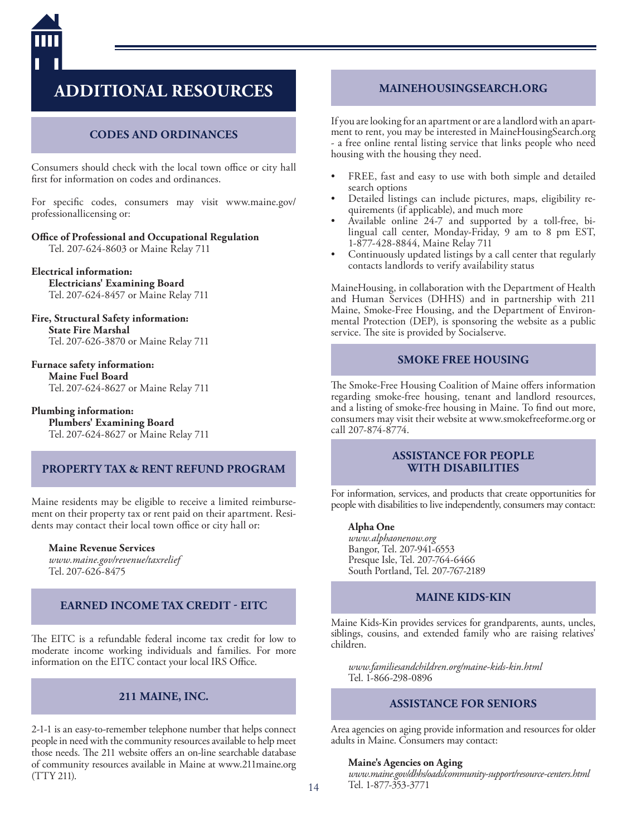

# **ADDITIONAL RESOURCES**

# **CODES AND ORDINANCES**

Consumers should check with the local town office or city hall first for information on codes and ordinances.

For specific codes, consumers may visit www.maine.gov/ professionallicensing or:

**Office of Professional and Occupational Regulation**

Tel. 207-624-8603 or Maine Relay 711

**Electrical information: Electricians' Examining Board** Tel. 207-624-8457 or Maine Relay 711

**Fire, Structural Safety information: State Fire Marshal** Tel. 207-626-3870 or Maine Relay 711

**Furnace safety information: Maine Fuel Board** Tel. 207-624-8627 or Maine Relay 711

**Plumbing information: Plumbers' Examining Board** Tel. 207-624-8627 or Maine Relay 711

# **PROPERTY TAX & RENT REFUND PROGRAM**

Maine residents may be eligible to receive a limited reimbursement on their property tax or rent paid on their apartment. Residents may contact their local town office or city hall or:

**Maine Revenue Services** *www.maine.gov/revenue/taxrelief* Tel. 207-626-8475

# **EARNED INCOME TAX CREDIT - EITC**

The EITC is a refundable federal income tax credit for low to moderate income working individuals and families. For more information on the EITC contact your local IRS Office.

# **211 MAINE, INC.**

2-1-1 is an easy-to-remember telephone number that helps connect people in need with the community resources available to help meet those needs. The 211 website offers an on-line searchable database of community resources available in Maine at www.211maine.org (TTY 211).

# **MAINEHOUSINGSEARCH.ORG**

If you are looking for an apartment or are a landlord with an apartment to rent, you may be interested in MaineHousingSearch.org - a free online rental listing service that links people who need housing with the housing they need.

- FREE, fast and easy to use with both simple and detailed search options
- Detailed listings can include pictures, maps, eligibility requirements (if applicable), and much more
- Available online 24-7 and supported by a toll-free, bilingual call center, Monday-Friday, 9 am to 8 pm EST, 1-877-428-8844, Maine Relay 711
- Continuously updated listings by a call center that regularly contacts landlords to verify availability status

MaineHousing, in collaboration with the Department of Health and Human Services (DHHS) and in partnership with 211 Maine, Smoke-Free Housing, and the Department of Environmental Protection (DEP), is sponsoring the website as a public service. The site is provided by Socialserve.

# **SMOKE FREE HOUSING**

The Smoke-Free Housing Coalition of Maine offers information regarding smoke-free housing, tenant and landlord resources, and a listing of smoke-free housing in Maine. To find out more, consumers may visit their website at www.smokefreeforme.org or call 207-874-8774.

# **ASSISTANCE FOR PEOPLE WITH DISABILITIES**

For information, services, and products that create opportunities for people with disabilities to live independently, consumers may contact:

#### **Alpha One**

*www.alphaonenow.org* Bangor, Tel. 207-941-6553 Presque Isle, Tel. 207-764-6466 South Portland, Tel. 207-767-2189

### **MAINE KIDS-KIN**

Maine Kids-Kin provides services for grandparents, aunts, uncles, siblings, cousins, and extended family who are raising relatives' children.

*www.familiesandchildren.org/maine-kids-kin.html* Tel. 1-866-298-0896

# **ASSISTANCE FOR SENIORS**

Area agencies on aging provide information and resources for older adults in Maine. Consumers may contact:

#### **Maine's Agencies on Aging**

*www.maine.gov/dhhs/oads/community-support/resource-centers.html* Tel. 1-877-353-3771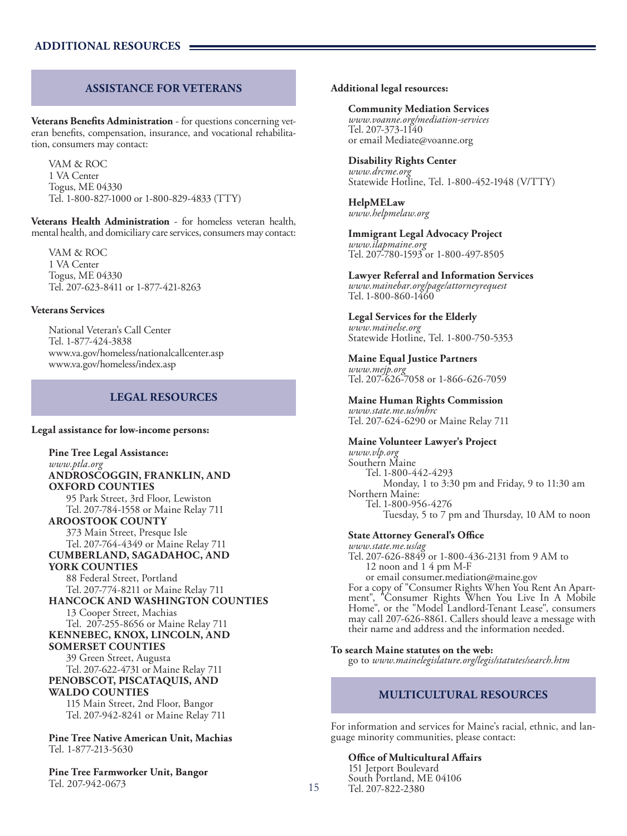# **ASSISTANCE FOR VETERANS**

**Veterans Benefits Administration** - for questions concerning veteran benefits, compensation, insurance, and vocational rehabilitation, consumers may contact:

VAM & ROC 1 VA Center Togus, ME 04330 Tel. 1-800-827-1000 or 1-800-829-4833 (TTY)

**Veterans Health Administration** - for homeless veteran health, mental health, and domiciliary care services, consumers may contact:

VAM & ROC 1 VA Center Togus, ME 04330 Tel. 207-623-8411 or 1-877-421-8263

#### **Veterans Services**

National Veteran's Call Center Tel. 1-877-424-3838 www.va.gov/homeless/nationalcallcenter.asp www.va.gov/homeless/index.asp

### **LEGAL RESOURCES**

#### **Legal assistance for low-income persons:**

**Pine Tree Legal Assistance:** *www.ptla.org* **ANDROSCOGGIN, FRANKLIN, AND OXFORD COUNTIES** 95 Park Street, 3rd Floor, Lewiston Tel. 207-784-1558 or Maine Relay 711 **AROOSTOOK COUNTY** 373 Main Street, Presque Isle Tel. 207-764-4349 or Maine Relay 711 **CUMBERLAND, SAGADAHOC, AND YORK COUNTIES** 88 Federal Street, Portland Tel. 207-774-8211 or Maine Relay 711 **HANCOCK AND WASHINGTON COUNTIES** 13 Cooper Street, Machias Tel. 207-255-8656 or Maine Relay 711 **KENNEBEC, KNOX, LINCOLN, AND SOMERSET COUNTIES** 39 Green Street, Augusta Tel. 207-622-4731 or Maine Relay 711 **PENOBSCOT, PISCATAQUIS, AND WALDO COUNTIES** 115 Main Street, 2nd Floor, Bangor Tel. 207-942-8241 or Maine Relay 711

**Pine Tree Native American Unit, Machias** Tel. 1-877-213-5630

**Pine Tree Farmworker Unit, Bangor** Tel. 207-942-0673

#### **Additional legal resources:**

#### **Community Mediation Services**

*www.voanne.org/mediation-services* Tel. 207-373-1140 or email Mediate@voanne.org

#### **Disability Rights Center**

*www.drcme.org* Statewide Hotline, Tel. 1-800-452-1948 (V/TTY)

**HelpMELaw** *www.helpmelaw.org*

**Immigrant Legal Advocacy Project** *www.ilapmaine.org* Tel. 207-780-1593 or 1-800-497-8505

**Lawyer Referral and Information Services** *www.mainebar.org/page/attorneyrequest* Tel. 1-800-860-1460

#### **Legal Services for the Elderly**

*www.mainelse.org* Statewide Hotline, Tel. 1-800-750-5353

#### **Maine Equal Justice Partners**

*www.mejp.org* Tel. 207-626-7058 or 1-866-626-7059

**Maine Human Rights Commission** *www.state.me.us/mhrc*

Tel. 207-624-6290 or Maine Relay 711

#### **Maine Volunteer Lawyer's Project**

*www.vlp.org* Southern Maine Tel. 1-800-442-4293 Monday, 1 to 3:30 pm and Friday, 9 to 11:30 am Northern Maine: Tel. 1-800-956-4276 Tuesday, 5 to 7 pm and Thursday, 10 AM to noon

#### **State Attorney General's Office**

*www.state.me.us/ag* Tel. 207-626-8849 or 1-800-436-2131 from 9 AM to 12 noon and 1 4 pm M-F<br>or email consumer.mediation@maine.gov or email consumer.mediation@maine.gov For a copy of "Consumer Rights When You Rent An Apart- ment", "Consumer Rights When You Live In A Mobile Home", or the "Model Landlord-Tenant Lease", consumers may call 207-626-8861. Callers should leave a message with their name and address and the information needed.

#### **To search Maine statutes on the web:**

go to *www.mainelegislature.org/legis/statutes/search.htm*

### **MULTICULTURAL RESOURCES**

For information and services for Maine's racial, ethnic, and lan- guage minority communities, please contact:

**Office of Multicultural Affairs** 151 Jetport Boulevard South Portland, ME 04106 Tel. 207-822-2380

15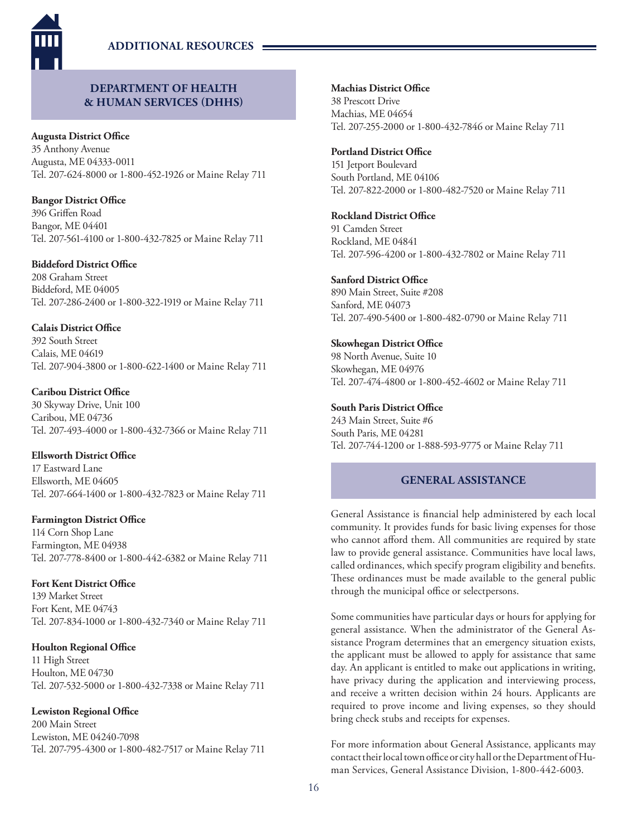

# **DEPARTMENT OF HEALTH & HUMAN SERVICES (DHHS)**

**Augusta District Office**

35 Anthony Avenue Augusta, ME 04333-0011 Tel. 207-624-8000 or 1-800-452-1926 or Maine Relay 711

**Bangor District Office** 396 Griffen Road Bangor, ME 04401 Tel. 207-561-4100 or 1-800-432-7825 or Maine Relay 711

### **Biddeford District Office**

208 Graham Street Biddeford, ME 04005 Tel. 207-286-2400 or 1-800-322-1919 or Maine Relay 711

### **Calais District Office**

392 South Street Calais, ME 04619 Tel. 207-904-3800 or 1-800-622-1400 or Maine Relay 711

# **Caribou District Office**

30 Skyway Drive, Unit 100 Caribou, ME 04736 Tel. 207-493-4000 or 1-800-432-7366 or Maine Relay 711

### **Ellsworth District Office**

17 Eastward Lane Ellsworth, ME 04605 Tel. 207-664-1400 or 1-800-432-7823 or Maine Relay 711

### **Farmington District Office**

114 Corn Shop Lane Farmington, ME 04938 Tel. 207-778-8400 or 1-800-442-6382 or Maine Relay 711

### **Fort Kent District Office**

139 Market Street Fort Kent, ME 04743 Tel. 207-834-1000 or 1-800-432-7340 or Maine Relay 711

### **Houlton Regional Office**

11 High Street Houlton, ME 04730 Tel. 207-532-5000 or 1-800-432-7338 or Maine Relay 711

### **Lewiston Regional Office**

200 Main Street Lewiston, ME 04240-7098 Tel. 207-795-4300 or 1-800-482-7517 or Maine Relay 711 **Machias District Office** 38 Prescott Drive

Machias, ME 04654 Tel. 207-255-2000 or 1-800-432-7846 or Maine Relay 711

# **Portland District Office**

151 Jetport Boulevard South Portland, ME 04106 Tel. 207-822-2000 or 1-800-482-7520 or Maine Relay 711

## **Rockland District Office**

91 Camden Street Rockland, ME 04841 Tel. 207-596-4200 or 1-800-432-7802 or Maine Relay 711

# **Sanford District Office**

890 Main Street, Suite #208 Sanford, ME 04073 Tel. 207-490-5400 or 1-800-482-0790 or Maine Relay 711

# **Skowhegan District Office**

98 North Avenue, Suite 10 Skowhegan, ME 04976 Tel. 207-474-4800 or 1-800-452-4602 or Maine Relay 711

### **South Paris District Office**

243 Main Street, Suite #6 South Paris, ME 04281 Tel. 207-744-1200 or 1-888-593-9775 or Maine Relay 711

# **GENERAL ASSISTANCE**

General Assistance is financial help administered by each local community. It provides funds for basic living expenses for those who cannot afford them. All communities are required by state law to provide general assistance. Communities have local laws, called ordinances, which specify program eligibility and benefits. These ordinances must be made available to the general public through the municipal office or selectpersons.

Some communities have particular days or hours for applying for general assistance. When the administrator of the General Assistance Program determines that an emergency situation exists, the applicant must be allowed to apply for assistance that same day. An applicant is entitled to make out applications in writing, have privacy during the application and interviewing process, and receive a written decision within 24 hours. Applicants are required to prove income and living expenses, so they should bring check stubs and receipts for expenses.

For more information about General Assistance, applicants may contact their local town office or city hall or the Department of Human Services, General Assistance Division, 1-800-442-6003.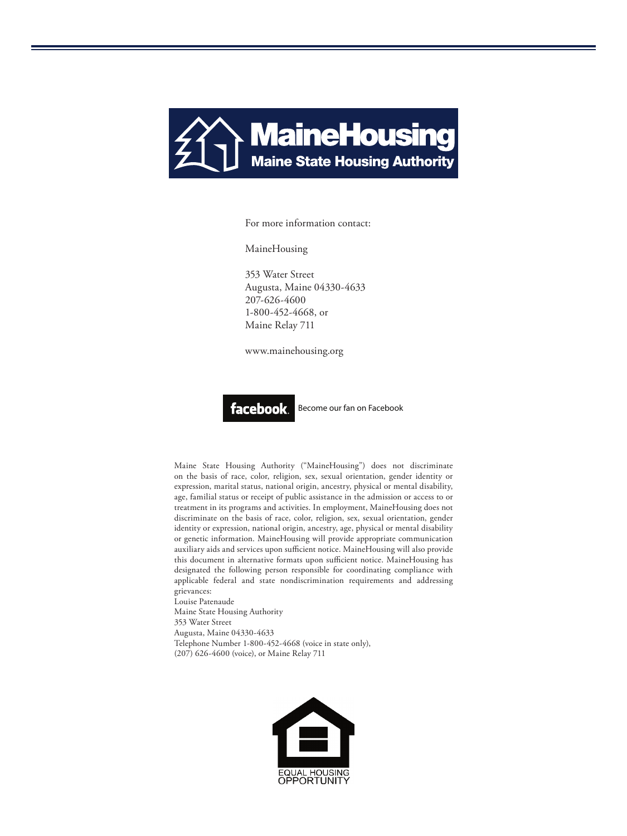

For more information contact:

MaineHousing

353 Water Street Augusta, Maine 04330-4633 207-626-4600 1-800-452-4668, or Maine Relay 711

www.mainehousing.org



Become our fan on Facebook

Maine State Housing Authority ("MaineHousing") does not discriminate on the basis of race, color, religion, sex, sexual orientation, gender identity or expression, marital status, national origin, ancestry, physical or mental disability, age, familial status or receipt of public assistance in the admission or access to or treatment in its programs and activities. In employment, MaineHousing does not discriminate on the basis of race, color, religion, sex, sexual orientation, gender identity or expression, national origin, ancestry, age, physical or mental disability or genetic information. MaineHousing will provide appropriate communication auxiliary aids and services upon sufficient notice. MaineHousing will also provide this document in alternative formats upon sufficient notice. MaineHousing has designated the following person responsible for coordinating compliance with applicable federal and state nondiscrimination requirements and addressing grievances:

Louise Patenaude Maine State Housing Authority 353 Water Street Augusta, Maine 04330-4633 Telephone Number 1-800-452-4668 (voice in state only), (207) 626-4600 (voice), or Maine Relay 711